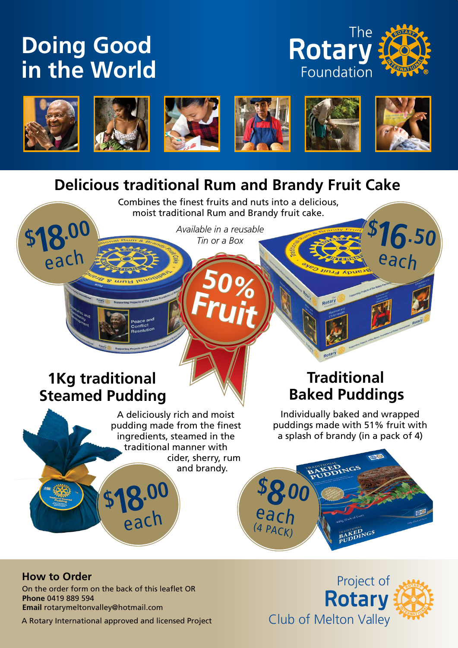## **Doing Good in the World**





**\$**

**18.00**

**each** 











**16.50**

each

### **Delicious traditional Rum and Brandy Fruit Cake**

Combines the finest fruits and nuts into a delicious, moist traditional Rum and Brandy fruit cake.

**50%** 

**Fruit**

*Available in a reusable*  able in a reusable **\$** 

### **1Kg traditional Steamed Pudding**

A deliciously rich and moist pudding made from the finest ingredients, steamed in the traditional manner with cider, sherry, rum and brandy.

### **Traditional Baked Puddings**

Individually baked and wrapped puddings made with 51% fruit with a splash of brandy (in a pack of 4)



### **How to Order**

On the order form on the back of this leaflet OR **Phone** 0419 889 594 **Email** rotarymeltonvalley@hotmail.com

**\$**

**18.00**

each

A Rotary International approved and licensed Project

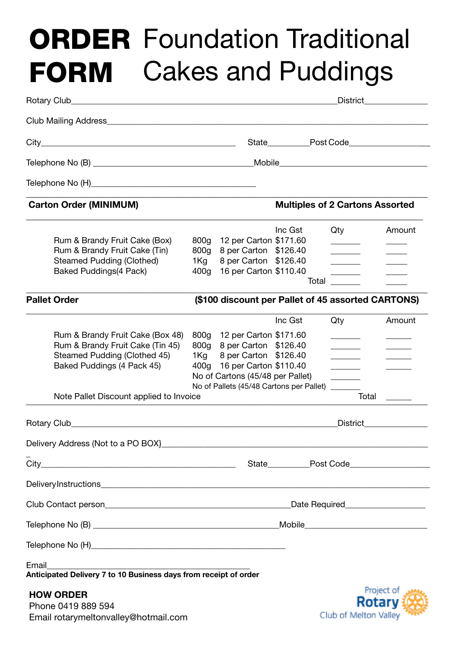# ORDER Foundation Traditional FORM Cakes and Puddings

|                                                                                                                                                                               | <b>District</b>                                                 |                                                                                                                                                                                         |         |       |                       |               |                                        |
|-------------------------------------------------------------------------------------------------------------------------------------------------------------------------------|-----------------------------------------------------------------|-----------------------------------------------------------------------------------------------------------------------------------------------------------------------------------------|---------|-------|-----------------------|---------------|----------------------------------------|
|                                                                                                                                                                               |                                                                 |                                                                                                                                                                                         |         |       |                       |               |                                        |
|                                                                                                                                                                               |                                                                 |                                                                                                                                                                                         |         |       |                       |               | State Post Code                        |
|                                                                                                                                                                               |                                                                 |                                                                                                                                                                                         |         |       |                       |               |                                        |
|                                                                                                                                                                               |                                                                 |                                                                                                                                                                                         |         |       |                       |               |                                        |
| <b>Carton Order (MINIMUM)</b>                                                                                                                                                 |                                                                 |                                                                                                                                                                                         |         |       |                       |               | <b>Multiples of 2 Cartons Assorted</b> |
| Rum & Brandy Fruit Cake (Box)<br>Rum & Brandy Fruit Cake (Tin)<br><b>Steamed Pudding (Clothed)</b><br><b>Baked Puddings(4 Pack)</b>                                           | 800 <sub>g</sub><br>800 <sub>g</sub><br>1Kg<br>400 <sub>g</sub> | 12 per Carton \$171.60<br>8 per Carton \$126.40<br>8 per Carton \$126.40<br>16 per Carton \$110.40                                                                                      | Inc Gst | Total | Qty<br>_______        |               | Amount                                 |
| <b>Pallet Order</b>                                                                                                                                                           |                                                                 | (\$100 discount per Pallet of 45 assorted CARTONS)                                                                                                                                      |         |       |                       |               |                                        |
| Rum & Brandy Fruit Cake (Box 48)<br>Rum & Brandy Fruit Cake (Tin 45)<br>Steamed Pudding (Clothed 45)<br>Baked Puddings (4 Pack 45)<br>Note Pallet Discount applied to Invoice | 800g<br>800 <sub>g</sub><br>1Kg                                 | 12 per Carton \$171.60<br>8 per Carton \$126.40<br>8 per Carton \$126.40<br>400g 16 per Carton \$110.40<br>No of Cartons (45/48 per Pallet)<br>No of Pallets (45/48 Cartons per Pallet) | Inc Gst |       | Qty                   | Total         | Amount                                 |
| Rotary Club_                                                                                                                                                                  |                                                                 |                                                                                                                                                                                         |         |       | <b>District</b>       |               |                                        |
|                                                                                                                                                                               |                                                                 |                                                                                                                                                                                         |         |       |                       |               |                                        |
|                                                                                                                                                                               |                                                                 |                                                                                                                                                                                         |         |       |                       |               |                                        |
|                                                                                                                                                                               |                                                                 |                                                                                                                                                                                         |         |       |                       |               |                                        |
|                                                                                                                                                                               |                                                                 |                                                                                                                                                                                         |         |       |                       |               | Date Required____________________      |
|                                                                                                                                                                               |                                                                 |                                                                                                                                                                                         |         |       |                       |               |                                        |
|                                                                                                                                                                               |                                                                 |                                                                                                                                                                                         |         |       |                       |               |                                        |
| Email<br>Anticipated Delivery 7 to 10 Business days from receipt of order                                                                                                     |                                                                 |                                                                                                                                                                                         |         |       |                       |               |                                        |
| <b>HOW ORDER</b><br>Phone 0419 889 594<br>Email rotarymeltonvalley@hotmail.com                                                                                                |                                                                 |                                                                                                                                                                                         |         |       | Club of Melton Valley | <b>Rotary</b> | Project of                             |